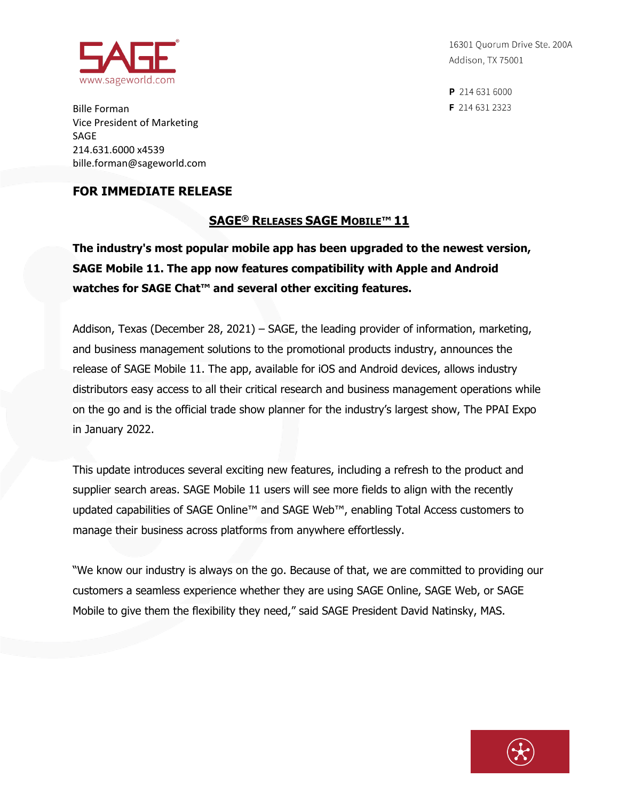

16301 Quorum Drive Ste. 200A Addison, TX 75001

P 214 631 6000 F 214 631 2323

Bille Forman Vice President of Marketing SAGE 214.631.6000 x4539 bille.forman@sageworld.com

## **FOR IMMEDIATE RELEASE**

## **SAGE® RELEASES SAGE MOBILE™ 11**

**The industry's most popular mobile app has been upgraded to the newest version, SAGE Mobile 11. The app now features compatibility with Apple and Android watches for SAGE Chat™ and several other exciting features.**

Addison, Texas (December 28, 2021) – SAGE, the leading provider of information, marketing, and business management solutions to the promotional products industry, announces the release of SAGE Mobile 11. The app, available for iOS and Android devices, allows industry distributors easy access to all their critical research and business management operations while on the go and is the official trade show planner for the industry's largest show, The PPAI Expo in January 2022.

This update introduces several exciting new features, including a refresh to the product and supplier search areas. SAGE Mobile 11 users will see more fields to align with the recently updated capabilities of SAGE Online™ and SAGE Web™, enabling Total Access customers to manage their business across platforms from anywhere effortlessly.

"We know our industry is always on the go. Because of that, we are committed to providing our customers a seamless experience whether they are using SAGE Online, SAGE Web, or SAGE Mobile to give them the flexibility they need," said SAGE President David Natinsky, MAS.